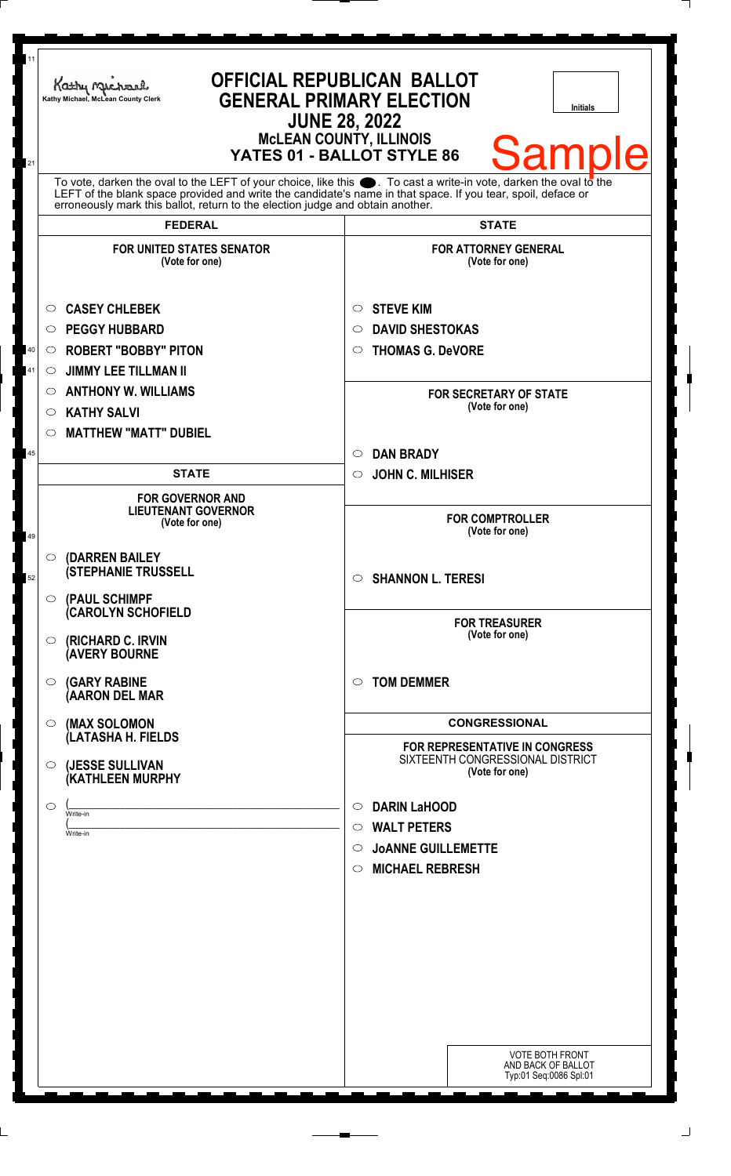| 11<br>21 | Kathy Michael<br>Kathy Michael, McLean County Clerk                                                                                                                                                                                  | <b>OFFICIAL REPUBLICAN BALLOT</b><br><b>GENERAL PRIMARY ELECTION</b><br><b>Initials</b><br><b>JUNE 28, 2022</b><br><b>McLEAN COUNTY, ILLINOIS</b><br><b>Sample</b><br>YATES 01 - BALLOT STYLE 86 |
|----------|--------------------------------------------------------------------------------------------------------------------------------------------------------------------------------------------------------------------------------------|--------------------------------------------------------------------------------------------------------------------------------------------------------------------------------------------------|
|          | To vote, darken the oval to the LEFT of your choice, like this $\bullet$ . To cast a write-in vote, darken the oval to the LEFT of the blank space provided and write the candidate's name in that space. If you tear, spoil, deface |                                                                                                                                                                                                  |
|          | erroneously mark this ballot, return to the election judge and obtain another.                                                                                                                                                       |                                                                                                                                                                                                  |
|          | <b>FEDERAL</b>                                                                                                                                                                                                                       | <b>STATE</b>                                                                                                                                                                                     |
|          | <b>FOR UNITED STATES SENATOR</b><br>(Vote for one)                                                                                                                                                                                   | <b>FOR ATTORNEY GENERAL</b><br>(Vote for one)                                                                                                                                                    |
|          | <b>CASEY CHLEBEK</b><br>$\circ$                                                                                                                                                                                                      | <b>STEVE KIM</b><br>O                                                                                                                                                                            |
|          | <b>PEGGY HUBBARD</b><br>O                                                                                                                                                                                                            | <b>DAVID SHESTOKAS</b><br>O                                                                                                                                                                      |
| 40       | <b>ROBERT "BOBBY" PITON</b><br>$\circ$                                                                                                                                                                                               | <b>THOMAS G. DeVORE</b><br>$\circ$                                                                                                                                                               |
| 41       | <b>JIMMY LEE TILLMAN II</b><br>$\circ$                                                                                                                                                                                               |                                                                                                                                                                                                  |
|          | <b>ANTHONY W. WILLIAMS</b><br>O                                                                                                                                                                                                      | <b>FOR SECRETARY OF STATE</b>                                                                                                                                                                    |
|          | <b>KATHY SALVI</b><br>O                                                                                                                                                                                                              | (Vote for one)                                                                                                                                                                                   |
|          | <b>MATTHEW "MATT" DUBIEL</b><br>O                                                                                                                                                                                                    |                                                                                                                                                                                                  |
| 45       |                                                                                                                                                                                                                                      | <b>DAN BRADY</b><br>$\circ$                                                                                                                                                                      |
|          | <b>STATE</b>                                                                                                                                                                                                                         | <b>JOHN C. MILHISER</b><br>$\circ$                                                                                                                                                               |
| 49       | <b>FOR GOVERNOR AND</b><br><b>LIEUTENANT GOVERNOR</b><br>(Vote for one)                                                                                                                                                              | <b>FOR COMPTROLLER</b><br>(Vote for one)                                                                                                                                                         |
| 52       | $\circ$ (DARREN BAILEY<br><b>(STEPHANIE TRUSSELL</b>                                                                                                                                                                                 | <b>SHANNON L. TERESI</b><br>$\circ$                                                                                                                                                              |
|          | O (PAUL SCHIMPF<br>(CAROLYN SCHOFIELD                                                                                                                                                                                                | <b>FOR TREASURER</b><br>(Vote for one)                                                                                                                                                           |
|          | (RICHARD C. IRVIN<br>$\circ$<br><b>(AVERY BOURNE</b>                                                                                                                                                                                 |                                                                                                                                                                                                  |
|          | <b>(GARY RABINE</b><br>O<br>(AARON DEL MAR                                                                                                                                                                                           | <b>TOM DEMMER</b><br>$\circ$                                                                                                                                                                     |
|          | (MAX SOLOMON<br>$\circ$<br>(LATASHA H. FIELDS                                                                                                                                                                                        | <b>CONGRESSIONAL</b><br>FOR REPRESENTATIVE IN CONGRESS                                                                                                                                           |
|          | (JESSE SULLIVAN<br>O<br>(KATHLEEN MURPHY                                                                                                                                                                                             | SIXTEENTH CONGRESSIONAL DISTRICT<br>(Vote for one)                                                                                                                                               |
|          | ◯<br>Write-in                                                                                                                                                                                                                        | <b>DARIN LaHOOD</b><br>$\circ$                                                                                                                                                                   |
|          | Write-in                                                                                                                                                                                                                             | <b>WALT PETERS</b><br>$\circ$                                                                                                                                                                    |
|          |                                                                                                                                                                                                                                      | <b>JOANNE GUILLEMETTE</b><br>$\circ$                                                                                                                                                             |
|          |                                                                                                                                                                                                                                      | <b>MICHAEL REBRESH</b><br>O                                                                                                                                                                      |
|          |                                                                                                                                                                                                                                      |                                                                                                                                                                                                  |
|          |                                                                                                                                                                                                                                      |                                                                                                                                                                                                  |
|          |                                                                                                                                                                                                                                      |                                                                                                                                                                                                  |
|          |                                                                                                                                                                                                                                      |                                                                                                                                                                                                  |
|          |                                                                                                                                                                                                                                      |                                                                                                                                                                                                  |
|          |                                                                                                                                                                                                                                      |                                                                                                                                                                                                  |
|          |                                                                                                                                                                                                                                      |                                                                                                                                                                                                  |
|          |                                                                                                                                                                                                                                      | <b>VOTE BOTH FRONT</b><br>AND BACK OF BALLOT<br>Typ:01 Seq:0086 Spl:01                                                                                                                           |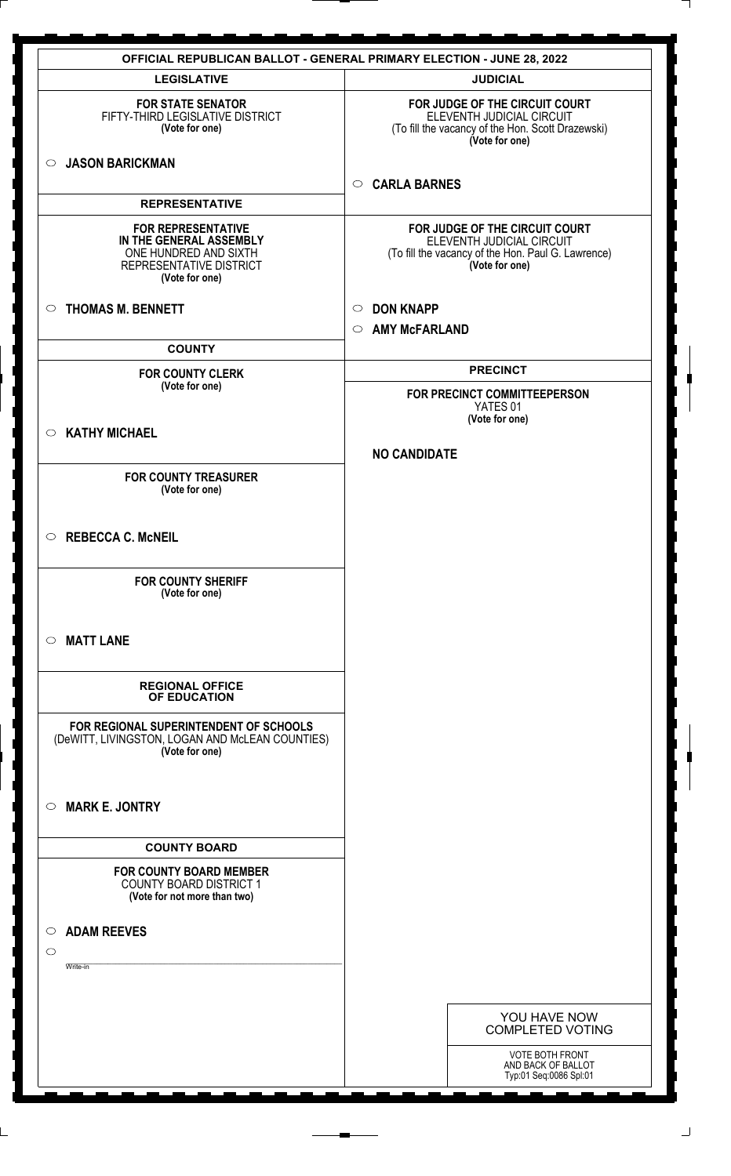| <b>OFFICIAL REPUBLICAN BALLOT - GENERAL PRIMARY ELECTION - JUNE 28, 2022</b>                                               |                                                                                                                                     |  |  |  |
|----------------------------------------------------------------------------------------------------------------------------|-------------------------------------------------------------------------------------------------------------------------------------|--|--|--|
| <b>LEGISLATIVE</b>                                                                                                         | <b>JUDICIAL</b>                                                                                                                     |  |  |  |
| <b>FOR STATE SENATOR</b><br>FIFTY-THIRD LEGISLATIVE DISTRICT<br>(Vote for one)                                             | FOR JUDGE OF THE CIRCUIT COURT<br>ELEVENTH JUDICIAL CIRCUIT<br>(To fill the vacancy of the Hon. Scott Drazewski)<br>(Vote for one)  |  |  |  |
| <b>JASON BARICKMAN</b><br>$\circ$                                                                                          | <b>CARLA BARNES</b><br>$\circ$                                                                                                      |  |  |  |
| <b>REPRESENTATIVE</b>                                                                                                      |                                                                                                                                     |  |  |  |
| <b>FOR REPRESENTATIVE</b><br>IN THE GENERAL ASSEMBLY<br>ONE HUNDRED AND SIXTH<br>REPRESENTATIVE DISTRICT<br>(Vote for one) | FOR JUDGE OF THE CIRCUIT COURT<br>ELEVENTH JUDICIAL CIRCUIT<br>(To fill the vacancy of the Hon. Paul G. Lawrence)<br>(Vote for one) |  |  |  |
| <b>THOMAS M. BENNETT</b><br>$\circ$                                                                                        | <b>DON KNAPP</b><br>$\circ$                                                                                                         |  |  |  |
|                                                                                                                            | <b>AMY McFARLAND</b><br>$\circ$                                                                                                     |  |  |  |
| <b>COUNTY</b>                                                                                                              |                                                                                                                                     |  |  |  |
| <b>FOR COUNTY CLERK</b>                                                                                                    | <b>PRECINCT</b>                                                                                                                     |  |  |  |
| (Vote for one)                                                                                                             | FOR PRECINCT COMMITTEEPERSON<br>YATES 01                                                                                            |  |  |  |
|                                                                                                                            | (Vote for one)                                                                                                                      |  |  |  |
| <b>KATHY MICHAEL</b><br>$\circ$                                                                                            |                                                                                                                                     |  |  |  |
|                                                                                                                            | <b>NO CANDIDATE</b>                                                                                                                 |  |  |  |
| <b>FOR COUNTY TREASURER</b><br>(Vote for one)                                                                              |                                                                                                                                     |  |  |  |
|                                                                                                                            |                                                                                                                                     |  |  |  |
| <b>REBECCA C. McNEIL</b><br>$\circ$                                                                                        |                                                                                                                                     |  |  |  |
| <b>FOR COUNTY SHERIFF</b><br>(Vote for one)                                                                                |                                                                                                                                     |  |  |  |
| <b>MATT LANE</b><br>$\circ$                                                                                                |                                                                                                                                     |  |  |  |
| <b>REGIONAL OFFICE</b><br>OF EDUCATION                                                                                     |                                                                                                                                     |  |  |  |
| FOR REGIONAL SUPERINTENDENT OF SCHOOLS<br>(DeWITT, LIVINGSTON, LOGAN AND McLEAN COUNTIES)<br>(Vote for one)                |                                                                                                                                     |  |  |  |
| <b>MARK E. JONTRY</b><br>$\circ$                                                                                           |                                                                                                                                     |  |  |  |
| <b>COUNTY BOARD</b>                                                                                                        |                                                                                                                                     |  |  |  |
| <b>FOR COUNTY BOARD MEMBER</b><br><b>COUNTY BOARD DISTRICT 1</b><br>(Vote for not more than two)                           |                                                                                                                                     |  |  |  |
| <b>ADAM REEVES</b><br>$\circ$                                                                                              |                                                                                                                                     |  |  |  |
| $\circ$                                                                                                                    |                                                                                                                                     |  |  |  |
| Write-in                                                                                                                   |                                                                                                                                     |  |  |  |
|                                                                                                                            |                                                                                                                                     |  |  |  |
|                                                                                                                            | YOU HAVE NOW<br><b>COMPLETED VOTING</b>                                                                                             |  |  |  |
|                                                                                                                            | <b>VOTE BOTH FRONT</b><br>AND BACK OF BALLOT<br>Typ:01 Seq:0086 Spl:01                                                              |  |  |  |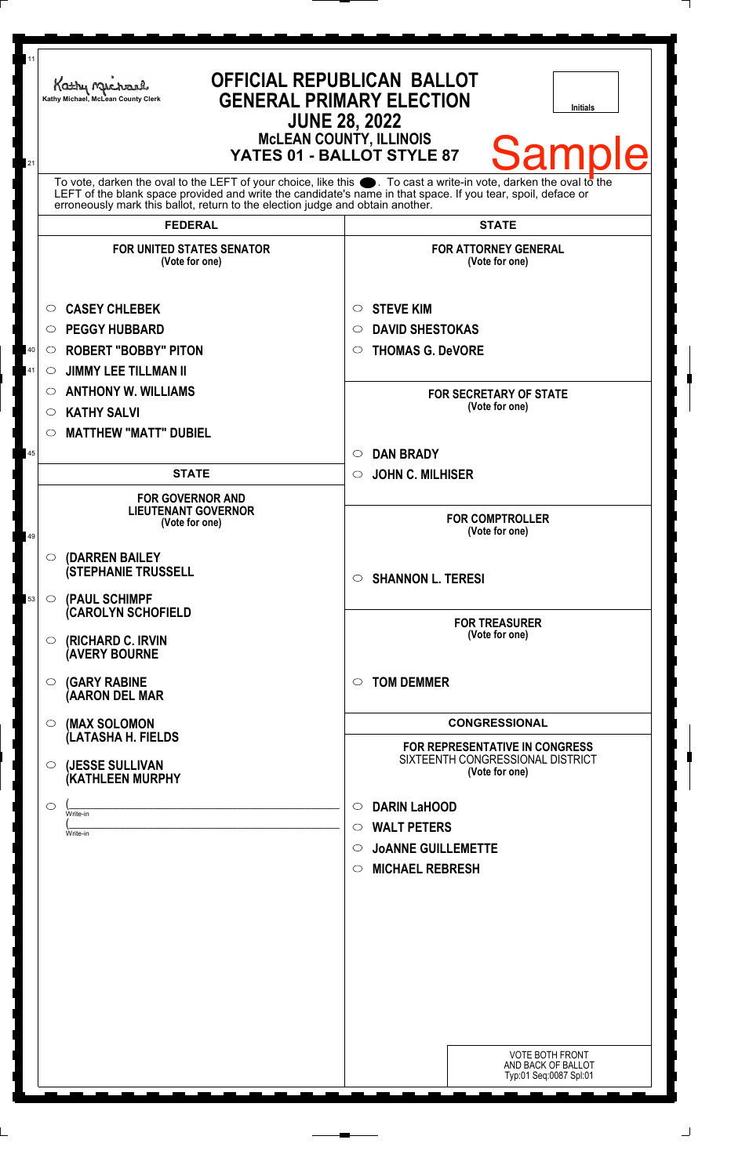|                     | Kathy Michael<br>Kathy Michael, McLean County Clerk                            | <b>OFFICIAL REPUBLICAN BALLOT</b><br><b>GENERAL PRIMARY ELECTION</b><br><b>Initials</b><br><b>JUNE 28, 2022</b><br><b>McLEAN COUNTY, ILLINOIS</b><br><b>Sample</b><br>YATES 01 - BALLOT STYLE 87<br>To vote, darken the oval to the LEFT of your choice, like this $\bullet$ . To cast a write-in vote, darken the oval to the<br>LEFT of the blank space provided and write the candidate's name in that space. If you tear, spoil, deface or |
|---------------------|--------------------------------------------------------------------------------|------------------------------------------------------------------------------------------------------------------------------------------------------------------------------------------------------------------------------------------------------------------------------------------------------------------------------------------------------------------------------------------------------------------------------------------------|
|                     | erroneously mark this ballot, return to the election judge and obtain another. |                                                                                                                                                                                                                                                                                                                                                                                                                                                |
|                     | <b>FEDERAL</b>                                                                 | <b>STATE</b>                                                                                                                                                                                                                                                                                                                                                                                                                                   |
|                     | <b>FOR UNITED STATES SENATOR</b><br>(Vote for one)                             | <b>FOR ATTORNEY GENERAL</b><br>(Vote for one)                                                                                                                                                                                                                                                                                                                                                                                                  |
| $\circ$             | <b>CASEY CHLEBEK</b>                                                           | <b>STEVE KIM</b><br>O                                                                                                                                                                                                                                                                                                                                                                                                                          |
| $\circ$             | <b>PEGGY HUBBARD</b>                                                           | <b>DAVID SHESTOKAS</b><br>◯                                                                                                                                                                                                                                                                                                                                                                                                                    |
| $\circ$             | <b>ROBERT "BOBBY" PITON</b>                                                    | <b>THOMAS G. DeVORE</b><br>$\circ$                                                                                                                                                                                                                                                                                                                                                                                                             |
| $\circ$             | <b>JIMMY LEE TILLMAN II</b>                                                    |                                                                                                                                                                                                                                                                                                                                                                                                                                                |
| $\circ$             | <b>ANTHONY W. WILLIAMS</b>                                                     | <b>FOR SECRETARY OF STATE</b>                                                                                                                                                                                                                                                                                                                                                                                                                  |
| O                   | <b>KATHY SALVI</b>                                                             | (Vote for one)                                                                                                                                                                                                                                                                                                                                                                                                                                 |
| $\circ$             | <b>MATTHEW "MATT" DUBIEL</b>                                                   |                                                                                                                                                                                                                                                                                                                                                                                                                                                |
|                     |                                                                                | <b>DAN BRADY</b><br>$\circ$                                                                                                                                                                                                                                                                                                                                                                                                                    |
|                     | <b>STATE</b>                                                                   | <b>JOHN C. MILHISER</b><br>$\circ$                                                                                                                                                                                                                                                                                                                                                                                                             |
|                     | <b>FOR GOVERNOR AND</b><br><b>LIEUTENANT GOVERNOR</b><br>(Vote for one)        | <b>FOR COMPTROLLER</b><br>(Vote for one)                                                                                                                                                                                                                                                                                                                                                                                                       |
|                     | $\circ$ (DARREN BAILEY<br><b>(STEPHANIE TRUSSELL</b>                           | <b>SHANNON L. TERESI</b><br>$\circ$                                                                                                                                                                                                                                                                                                                                                                                                            |
| $\circ$             | (PAUL SCHIMPF<br><b>CAROLYN SCHOFIELD</b>                                      | <b>FOR TREASURER</b>                                                                                                                                                                                                                                                                                                                                                                                                                           |
| $\circ$             | (RICHARD C. IRVIN<br><b>(AVERY BOURNE</b>                                      | (Vote for one)                                                                                                                                                                                                                                                                                                                                                                                                                                 |
| $\circ$             | <b>(GARY RABINE</b><br>(AARON DEL MAR                                          | <b>TOM DEMMER</b><br>$\circ$                                                                                                                                                                                                                                                                                                                                                                                                                   |
| $\circ$             | (MAX SOLOMON<br>(LATASHA H. FIELDS                                             | <b>CONGRESSIONAL</b><br><b>FOR REPRESENTATIVE IN CONGRESS</b>                                                                                                                                                                                                                                                                                                                                                                                  |
|                     | $\circ$ (JESSE SULLIVAN<br><b>(KATHLEEN MURPHY</b>                             | SIXTEENTH CONGRESSIONAL DISTRICT<br>(Vote for one)                                                                                                                                                                                                                                                                                                                                                                                             |
| $\circlearrowright$ | Write-in                                                                       | <b>DARIN LaHOOD</b><br>$\circ$                                                                                                                                                                                                                                                                                                                                                                                                                 |
|                     | Write-in                                                                       | <b>WALT PETERS</b><br>$\circ$                                                                                                                                                                                                                                                                                                                                                                                                                  |
|                     |                                                                                | <b>JOANNE GUILLEMETTE</b><br>$\circ$                                                                                                                                                                                                                                                                                                                                                                                                           |
|                     |                                                                                | <b>MICHAEL REBRESH</b><br>$\circ$                                                                                                                                                                                                                                                                                                                                                                                                              |
|                     |                                                                                |                                                                                                                                                                                                                                                                                                                                                                                                                                                |
|                     |                                                                                |                                                                                                                                                                                                                                                                                                                                                                                                                                                |
|                     |                                                                                |                                                                                                                                                                                                                                                                                                                                                                                                                                                |
|                     |                                                                                |                                                                                                                                                                                                                                                                                                                                                                                                                                                |
|                     |                                                                                |                                                                                                                                                                                                                                                                                                                                                                                                                                                |
|                     |                                                                                |                                                                                                                                                                                                                                                                                                                                                                                                                                                |
|                     |                                                                                |                                                                                                                                                                                                                                                                                                                                                                                                                                                |
|                     |                                                                                | <b>VOTE BOTH FRONT</b><br>AND BACK OF BALLOT                                                                                                                                                                                                                                                                                                                                                                                                   |